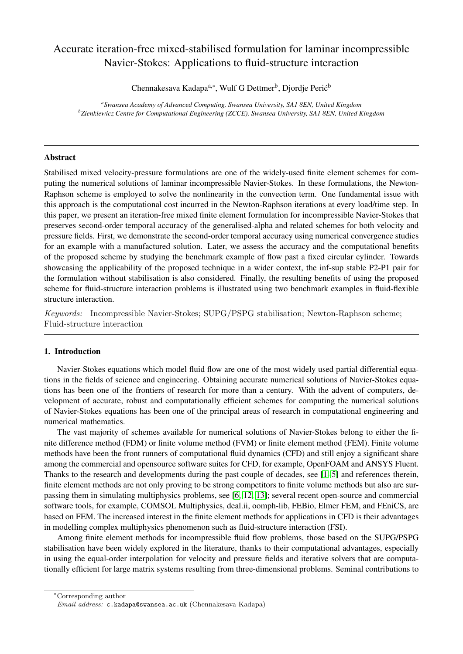# Accurate iteration-free mixed-stabilised formulation for laminar incompressible Navier-Stokes: Applications to fluid-structure interaction

Chennakesava Kadapa<sup>a,∗</sup>, Wulf G Dettmer<sup>b</sup>, Djordje Perić<sup>b</sup>

*a Swansea Academy of Advanced Computing, Swansea University, SA1 8EN, United Kingdom b Zienkiewicz Centre for Computational Engineering (ZCCE), Swansea University, SA1 8EN, United Kingdom*

# Abstract

Stabilised mixed velocity-pressure formulations are one of the widely-used finite element schemes for computing the numerical solutions of laminar incompressible Navier-Stokes. In these formulations, the Newton-Raphson scheme is employed to solve the nonlinearity in the convection term. One fundamental issue with this approach is the computational cost incurred in the Newton-Raphson iterations at every load/time step. In this paper, we present an iteration-free mixed finite element formulation for incompressible Navier-Stokes that preserves second-order temporal accuracy of the generalised-alpha and related schemes for both velocity and pressure fields. First, we demonstrate the second-order temporal accuracy using numerical convergence studies for an example with a manufactured solution. Later, we assess the accuracy and the computational benefits of the proposed scheme by studying the benchmark example of flow past a fixed circular cylinder. Towards showcasing the applicability of the proposed technique in a wider context, the inf-sup stable P2-P1 pair for the formulation without stabilisation is also considered. Finally, the resulting benefits of using the proposed scheme for fluid-structure interaction problems is illustrated using two benchmark examples in fluid-flexible structure interaction.

Keywords: Incompressible Navier-Stokes; SUPG/PSPG stabilisation; Newton-Raphson scheme; Fluid-structure interaction

## 1. Introduction

Navier-Stokes equations which model fluid flow are one of the most widely used partial differential equations in the fields of science and engineering. Obtaining accurate numerical solutions of Navier-Stokes equations has been one of the frontiers of research for more than a century. With the advent of computers, development of accurate, robust and computationally efficient schemes for computing the numerical solutions of Navier-Stokes equations has been one of the principal areas of research in computational engineering and numerical mathematics.

The vast majority of schemes available for numerical solutions of Navier-Stokes belong to either the finite difference method (FDM) or finite volume method (FVM) or finite element method (FEM). Finite volume methods have been the front runners of computational fluid dynamics (CFD) and still enjoy a significant share among the commercial and opensource software suites for CFD, for example, OpenFOAM and ANSYS Fluent. Thanks to the research and developments during the past couple of decades, see [\[1–](#page-23-0)[5\]](#page-23-1) and references therein, finite element methods are not only proving to be strong competitors to finite volume methods but also are surpassing them in simulating multiphysics problems, see [\[6,](#page-23-2) [12,](#page-23-3) [13\]](#page-23-4); several recent open-source and commercial software tools, for example, COMSOL Multiphysics, deal.ii, oomph-lib, FEBio, Elmer FEM, and FEniCS, are based on FEM. The increased interest in the finite element methods for applications in CFD is their advantages in modelling complex multiphysics phenomenon such as fluid-structure interaction (FSI).

Among finite element methods for incompressible fluid flow problems, those based on the SUPG/PSPG stabilisation have been widely explored in the literature, thanks to their computational advantages, especially in using the equal-order interpolation for velocity and pressure fields and iterative solvers that are computationally efficient for large matrix systems resulting from three-dimensional problems. Seminal contributions to

<sup>∗</sup>Corresponding author

Email address: c.kadapa@swansea.ac.uk (Chennakesava Kadapa)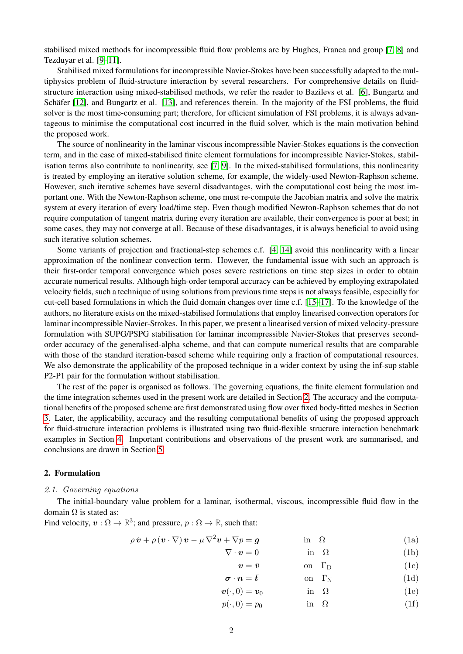stabilised mixed methods for incompressible fluid flow problems are by Hughes, Franca and group [\[7,](#page-23-5) [8\]](#page-23-6) and Tezduyar et al. [\[9–](#page-23-7)[11\]](#page-23-8).

Stabilised mixed formulations for incompressible Navier-Stokes have been successfully adapted to the multiphysics problem of fluid-structure interaction by several researchers. For comprehensive details on fluidstructure interaction using mixed-stabilised methods, we refer the reader to Bazilevs et al. [\[6\]](#page-23-2), Bungartz and Schäfer [\[12\]](#page-23-3), and Bungartz et al. [\[13\]](#page-23-4), and references therein. In the majority of the FSI problems, the fluid solver is the most time-consuming part; therefore, for efficient simulation of FSI problems, it is always advantageous to minimise the computational cost incurred in the fluid solver, which is the main motivation behind the proposed work.

The source of nonlinearity in the laminar viscous incompressible Navier-Stokes equations is the convection term, and in the case of mixed-stabilised finite element formulations for incompressible Navier-Stokes, stabilisation terms also contribute to nonlinearity, see [\[7,](#page-23-5) [9\]](#page-23-7). In the mixed-stabilised formulations, this nonlinearity is treated by employing an iterative solution scheme, for example, the widely-used Newton-Raphson scheme. However, such iterative schemes have several disadvantages, with the computational cost being the most important one. With the Newton-Raphson scheme, one must re-compute the Jacobian matrix and solve the matrix system at every iteration of every load/time step. Even though modified Newton-Raphson schemes that do not require computation of tangent matrix during every iteration are available, their convergence is poor at best; in some cases, they may not converge at all. Because of these disadvantages, it is always beneficial to avoid using such iterative solution schemes.

Some variants of projection and fractional-step schemes c.f. [\[4,](#page-23-9) [14\]](#page-23-10) avoid this nonlinearity with a linear approximation of the nonlinear convection term. However, the fundamental issue with such an approach is their first-order temporal convergence which poses severe restrictions on time step sizes in order to obtain accurate numerical results. Although high-order temporal accuracy can be achieved by employing extrapolated velocity fields, such a technique of using solutions from previous time steps is not always feasible, especially for cut-cell based formulations in which the fluid domain changes over time c.f. [\[15](#page-23-11)[–17\]](#page-23-12). To the knowledge of the authors, no literature exists on the mixed-stabilised formulations that employ linearised convection operators for laminar incompressible Navier-Strokes. In this paper, we present a linearised version of mixed velocity-pressure formulation with SUPG/PSPG stabilisation for laminar incompressible Navier-Stokes that preserves secondorder accuracy of the generalised-alpha scheme, and that can compute numerical results that are comparable with those of the standard iteration-based scheme while requiring only a fraction of computational resources. We also demonstrate the applicability of the proposed technique in a wider context by using the inf-sup stable P2-P1 pair for the formulation without stabilisation.

The rest of the paper is organised as follows. The governing equations, the finite element formulation and the time integration schemes used in the present work are detailed in Section [2.](#page-1-0) The accuracy and the computational benefits of the proposed scheme are first demonstrated using flow over fixed body-fitted meshes in Section [3.](#page-5-0) Later, the applicability, accuracy and the resulting computational benefits of using the proposed approach for fluid-structure interaction problems is illustrated using two fluid-flexible structure interaction benchmark examples in Section [4.](#page-14-0) Important contributions and observations of the present work are summarised, and conclusions are drawn in Section [5.](#page-22-0)

## <span id="page-1-0"></span>2. Formulation

#### 2.1. Governing equations

The initial-boundary value problem for a laminar, isothermal, viscous, incompressible fluid flow in the domain  $Ω$  is stated as:

Find velocity,  $v : \Omega \to \mathbb{R}^3$ ; and pressure,  $p : \Omega \to \mathbb{R}$ , such that:

$$
\rho \dot{\boldsymbol{v}} + \rho (\boldsymbol{v} \cdot \nabla) \boldsymbol{v} - \mu \nabla^2 \boldsymbol{v} + \nabla p = \boldsymbol{g} \qquad \text{in } \Omega \tag{1a}
$$

$$
\nabla \cdot \mathbf{v} = 0 \qquad \qquad \text{in} \quad \Omega \tag{1b}
$$

<span id="page-1-1"></span>
$$
\mathbf{v} = \bar{\mathbf{v}} \qquad \text{on} \quad \Gamma_{\text{D}} \tag{1c}
$$

$$
\boldsymbol{\sigma} \cdot \boldsymbol{n} = \bar{\boldsymbol{t}} \qquad \text{on } \Gamma_{\text{N}} \qquad (1d)
$$
  

$$
\boldsymbol{v}(\cdot, 0) = \boldsymbol{v}_0 \qquad \text{in } \Omega \qquad (1e)
$$

$$
p(\cdot,0) = p_0 \qquad \qquad \text{in} \quad \Omega \tag{1f}
$$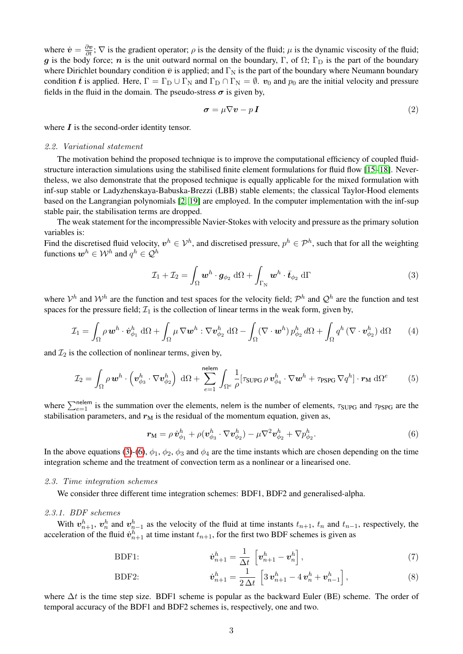where  $\dot{v} = \frac{\partial v}{\partial t}$ ;  $\nabla$  is the gradient operator;  $\rho$  is the density of the fluid;  $\mu$  is the dynamic viscosity of the fluid; g is the body force; n is the unit outward normal on the boundary, Γ, of  $\Omega$ ; Γ<sub>D</sub> is the part of the boundary where Dirichlet boundary condition  $\bar{v}$  is applied; and  $\Gamma_N$  is the part of the boundary where Neumann boundary condition  $\bar{t}$  is applied. Here,  $\Gamma = \Gamma_D \cup \Gamma_N$  and  $\Gamma_D \cap \Gamma_N = \emptyset$ .  $v_0$  and  $p_0$  are the initial velocity and pressure fields in the fluid in the domain. The pseudo-stress  $\sigma$  is given by,

$$
\boldsymbol{\sigma} = \mu \nabla \boldsymbol{v} - p \, \boldsymbol{I} \tag{2}
$$

where  $\boldsymbol{I}$  is the second-order identity tensor.

#### 2.2. Variational statement

The motivation behind the proposed technique is to improve the computational efficiency of coupled fluidstructure interaction simulations using the stabilised finite element formulations for fluid flow [\[15–](#page-23-11)[18\]](#page-24-0). Nevertheless, we also demonstrate that the proposed technique is equally applicable for the mixed formulation with inf-sup stable or Ladyzhenskaya-Babuska-Brezzi (LBB) stable elements; the classical Taylor-Hood elements based on the Langrangian polynomials [\[2,](#page-23-13) [19\]](#page-24-1) are employed. In the computer implementation with the inf-sup stable pair, the stabilisation terms are dropped.

The weak statement for the incompressible Navier-Stokes with velocity and pressure as the primary solution variables is:

Find the discretised fluid velocity,  $v^h \in \mathcal{V}^h$ , and discretised pressure,  $p^h \in \mathcal{P}^h$ , such that for all the weighting functions  $\boldsymbol{w}^h \in \mathcal{W}^h$  and  $q^h \in \mathcal{Q}^h$ 

<span id="page-2-0"></span>
$$
\mathcal{I}_1 + \mathcal{I}_2 = \int_{\Omega} \boldsymbol{w}^h \cdot \boldsymbol{g}_{\phi_2} \, \mathrm{d}\Omega + \int_{\Gamma_N} \boldsymbol{w}^h \cdot \bar{\boldsymbol{t}}_{\phi_2} \, \mathrm{d}\Gamma \tag{3}
$$

where  $\mathcal{V}^h$  and  $\mathcal{W}^h$  are the function and test spaces for the velocity field;  $\mathcal{P}^h$  and  $\mathcal{Q}^h$  are the function and test spaces for the pressure field;  $\mathcal{I}_1$  is the collection of linear terms in the weak form, given by,

$$
\mathcal{I}_1 = \int_{\Omega} \rho \, \boldsymbol{w}^h \cdot \dot{\boldsymbol{v}}_{\phi_1}^h \, d\Omega + \int_{\Omega} \mu \, \nabla \boldsymbol{w}^h : \nabla \boldsymbol{v}_{\phi_2}^h \, d\Omega - \int_{\Omega} (\nabla \cdot \boldsymbol{w}^h) \, p_{\phi_2}^h \, d\Omega + \int_{\Omega} q^h \left( \nabla \cdot \boldsymbol{v}_{\phi_2}^h \right) d\Omega \qquad (4)
$$

and  $\mathcal{I}_2$  is the collection of nonlinear terms, given by,

$$
\mathcal{I}_2 = \int_{\Omega} \rho \, \boldsymbol{w}^h \cdot \left( \boldsymbol{v}^h_{\phi_3} \cdot \nabla \boldsymbol{v}^h_{\phi_2} \right) \, \mathrm{d}\Omega + \sum_{e=1}^{\text{nelem}} \int_{\Omega^e} \frac{1}{\rho} [\tau_{\text{SUPG}} \, \rho \, \boldsymbol{v}^h_{\phi_4} \cdot \nabla \boldsymbol{w}^h + \tau_{\text{PSPG}} \, \nabla q^h] \cdot \boldsymbol{r}_{\text{M}} \, \mathrm{d}\Omega^e \tag{5}
$$

where  $\sum_{e=1}^{\text{nelem}}$  is the summation over the elements, nelem is the number of elements,  $\tau_{\text{SUPG}}$  and  $\tau_{\text{PSPG}}$  are the stabilisation parameters, and  $r<sub>M</sub>$  is the residual of the momentum equation, given as,

<span id="page-2-2"></span><span id="page-2-1"></span>
$$
\boldsymbol{r}_{\mathrm{M}} = \rho \, \dot{\boldsymbol{v}}_{\phi_1}^h + \rho (\boldsymbol{v}_{\phi_3}^h \cdot \nabla \boldsymbol{v}_{\phi_2}^h) - \mu \nabla^2 \boldsymbol{v}_{\phi_2}^h + \nabla p_{\phi_2}^h. \tag{6}
$$

In the above equations [\(3\)](#page-2-0)-[\(6\)](#page-2-1),  $\phi_1$ ,  $\phi_2$ ,  $\phi_3$  and  $\phi_4$  are the time instants which are chosen depending on the time integration scheme and the treatment of convection term as a nonlinear or a linearised one.

#### 2.3. Time integration schemes

We consider three different time integration schemes: BDF1, BDF2 and generalised-alpha.

## 2.3.1. BDF schemes

With  $v_{n+1}^h$ ,  $v_n^h$  and  $v_{n-1}^h$  as the velocity of the fluid at time instants  $t_{n+1}$ ,  $t_n$  and  $t_{n-1}$ , respectively, the acceleration of the fluid  $\dot{v}_{n+1}^h$  at time instant  $t_{n+1}$ , for the first two BDF schemes is given as

$$
\text{BDF1:} \qquad \qquad \dot{\boldsymbol{v}}_{n+1}^h = \frac{1}{\Delta t} \left[ \boldsymbol{v}_{n+1}^h - \boldsymbol{v}_n^h \right], \tag{7}
$$

BDF2: 
$$
\dot{v}_{n+1}^h = \frac{1}{2\,\Delta t} \, \left[ 3\,v_{n+1}^h - 4\,v_n^h + v_{n-1}^h \right], \tag{8}
$$

where  $\Delta t$  is the time step size. BDF1 scheme is popular as the backward Euler (BE) scheme. The order of temporal accuracy of the BDF1 and BDF2 schemes is, respectively, one and two.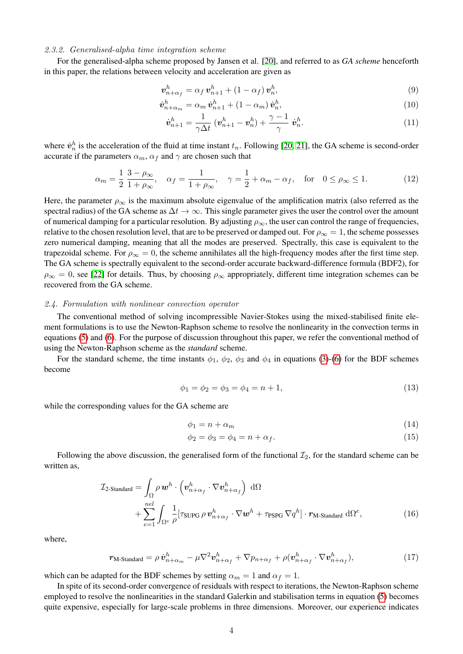## 2.3.2. Generalised-alpha time integration scheme

For the generalised-alpha scheme proposed by Jansen et al. [\[20\]](#page-24-2), and referred to as *GA scheme* henceforth in this paper, the relations between velocity and acceleration are given as

$$
\boldsymbol{v}_{n+\alpha_f}^h = \alpha_f \, \boldsymbol{v}_{n+1}^h + (1 - \alpha_f) \, \boldsymbol{v}_n^h,\tag{9}
$$

$$
\dot{\boldsymbol{v}}_{n+\alpha_m}^h = \alpha_m \, \dot{\boldsymbol{v}}_{n+1}^h + (1 - \alpha_m) \, \dot{\boldsymbol{v}}_n^h,\tag{10}
$$

$$
\dot{\boldsymbol{v}}_{n+1}^h = \frac{1}{\gamma \Delta t} \left( \boldsymbol{v}_{n+1}^h - \boldsymbol{v}_n^h \right) + \frac{\gamma - 1}{\gamma} \dot{\boldsymbol{v}}_n^h. \tag{11}
$$

where  $\dot{v}_n^h$  is the acceleration of the fluid at time instant  $t_n$ . Following [\[20,](#page-24-2) [21\]](#page-24-3), the GA scheme is second-order accurate if the parameters  $\alpha_m$ ,  $\alpha_f$  and  $\gamma$  are chosen such that

$$
\alpha_m = \frac{1}{2} \frac{3 - \rho_{\infty}}{1 + \rho_{\infty}}, \quad \alpha_f = \frac{1}{1 + \rho_{\infty}}, \quad \gamma = \frac{1}{2} + \alpha_m - \alpha_f, \quad \text{for} \quad 0 \le \rho_{\infty} \le 1. \tag{12}
$$

Here, the parameter  $\rho_{\infty}$  is the maximum absolute eigenvalue of the amplification matrix (also referred as the spectral radius) of the GA scheme as  $\Delta t \to \infty$ . This single parameter gives the user the control over the amount of numerical damping for a particular resolution. By adjusting  $\rho_{\infty}$ , the user can control the range of frequencies, relative to the chosen resolution level, that are to be preserved or damped out. For  $\rho_{\infty} = 1$ , the scheme possesses zero numerical damping, meaning that all the modes are preserved. Spectrally, this case is equivalent to the trapezoidal scheme. For  $\rho_{\infty} = 0$ , the scheme annihilates all the high-frequency modes after the first time step. The GA scheme is spectrally equivalent to the second-order accurate backward-difference formula (BDF2), for  $\rho_{\infty} = 0$ , see [\[22\]](#page-24-4) for details. Thus, by choosing  $\rho_{\infty}$  appropriately, different time integration schemes can be recovered from the GA scheme.

#### <span id="page-3-0"></span>2.4. Formulation with nonlinear convection operator

The conventional method of solving incompressible Navier-Stokes using the mixed-stabilised finite element formulations is to use the Newton-Raphson scheme to resolve the nonlinearity in the convection terms in equations [\(5\)](#page-2-2) and [\(6\)](#page-2-1). For the purpose of discussion throughout this paper, we refer the conventional method of using the Newton-Raphson scheme as the *standard* scheme.

For the standard scheme, the time instants  $\phi_1$ ,  $\phi_2$ ,  $\phi_3$  and  $\phi_4$  in equations [\(3\)](#page-2-0)-[\(6\)](#page-2-1) for the BDF schemes become

$$
\phi_1 = \phi_2 = \phi_3 = \phi_4 = n + 1,\tag{13}
$$

while the corresponding values for the GA scheme are

$$
\phi_1 = n + \alpha_m \tag{14}
$$

$$
\phi_2 = \phi_3 = \phi_4 = n + \alpha_f. \tag{15}
$$

Following the above discussion, the generalised form of the functional  $\mathcal{I}_2$ , for the standard scheme can be written as,

$$
\mathcal{I}_{2\text{-Standard}} = \int_{\Omega} \rho \, \boldsymbol{w}^{h} \cdot \left( \boldsymbol{v}^{h}_{n+\alpha_{f}} \cdot \nabla \boldsymbol{v}^{h}_{n+\alpha_{f}} \right) \, \mathrm{d}\Omega \n+ \sum_{e=1}^{nel} \int_{\Omega^{e}} \frac{1}{\rho} \left[ \tau_{\text{SUPG}} \, \rho \, \boldsymbol{v}^{h}_{n+\alpha_{f}} \cdot \nabla \boldsymbol{w}^{h} + \tau_{\text{PSPG}} \, \nabla q^{h} \right] \cdot \boldsymbol{r}_{\text{M-Standard}} \, \mathrm{d}\Omega^{e},
$$
\n(16)

where,

$$
r_{\text{M-Standard}} = \rho \, \dot{\boldsymbol{v}}_{n+\alpha_m}^h - \mu \nabla^2 \boldsymbol{v}_{n+\alpha_f}^h + \nabla p_{n+\alpha_f} + \rho (\boldsymbol{v}_{n+\alpha_f}^h \cdot \nabla \boldsymbol{v}_{n+\alpha_f}^h), \tag{17}
$$

which can be adapted for the BDF schemes by setting  $\alpha_m = 1$  and  $\alpha_f = 1$ .

In spite of its second-order convergence of residuals with respect to iterations, the Newton-Raphson scheme employed to resolve the nonlinearities in the standard Galerkin and stabilisation terms in equation [\(5\)](#page-2-2) becomes quite expensive, especially for large-scale problems in three dimensions. Moreover, our experience indicates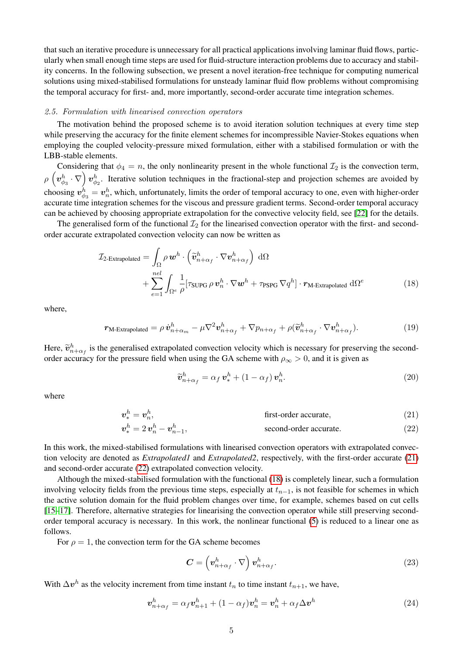that such an iterative procedure is unnecessary for all practical applications involving laminar fluid flows, particularly when small enough time steps are used for fluid-structure interaction problems due to accuracy and stability concerns. In the following subsection, we present a novel iteration-free technique for computing numerical solutions using mixed-stabilised formulations for unsteady laminar fluid flow problems without compromising the temporal accuracy for first- and, more importantly, second-order accurate time integration schemes.

#### <span id="page-4-4"></span>2.5. Formulation with linearised convection operators

The motivation behind the proposed scheme is to avoid iteration solution techniques at every time step while preserving the accuracy for the finite element schemes for incompressible Navier-Stokes equations when employing the coupled velocity-pressure mixed formulation, either with a stabilised formulation or with the LBB-stable elements.

Considering that  $\phi_4 = n$ , the only nonlinearity present in the whole functional  $\mathcal{I}_2$  is the convection term,  $\rho\left(\bm{v}_{\phi_3}^h\cdot\nabla\right)\bm{v}_{\phi_2}^h$ . Iterative solution techniques in the fractional-step and projection schemes are avoided by choosing  $\bm{v}^h_{\phi 3}=\bm{v}^h_n$ , which, unfortunately, limits the order of temporal accuracy to one, even with higher-order accurate time integration schemes for the viscous and pressure gradient terms. Second-order temporal accuracy can be achieved by choosing appropriate extrapolation for the convective velocity field, see [\[22\]](#page-24-4) for the details.

The generalised form of the functional  $\mathcal{I}_2$  for the linearised convection operator with the first- and secondorder accurate extrapolated convection velocity can now be written as

$$
\mathcal{I}_{2\text{-Extrapolated}} = \int_{\Omega} \rho \, \boldsymbol{w}^{h} \cdot \left( \tilde{\boldsymbol{v}}_{n+\alpha_{f}}^{h} \cdot \nabla \boldsymbol{v}_{n+\alpha_{f}}^{h} \right) \, \mathrm{d}\Omega \n+ \sum_{e=1}^{nel} \int_{\Omega^{e}} \frac{1}{\rho} [\tau_{\text{SUPG}} \, \rho \, \boldsymbol{v}_{n}^{h} \cdot \nabla \boldsymbol{w}^{h} + \tau_{\text{PSPG}} \, \nabla q^{h}] \cdot \boldsymbol{r}_{\text{M-Extrapolated}} \, \mathrm{d}\Omega^{e}
$$
\n(18)

where,

$$
r_{\text{M-Extrapolated}} = \rho \, \dot{\boldsymbol{v}}_{n+\alpha_m}^h - \mu \nabla^2 \boldsymbol{v}_{n+\alpha_f}^h + \nabla p_{n+\alpha_f} + \rho (\tilde{\boldsymbol{v}}_{n+\alpha_f}^h \cdot \nabla \boldsymbol{v}_{n+\alpha_f}^h). \tag{19}
$$

Here,  $\widetilde{v}_{n+\alpha_{f}}^{h}$  is the generalised extrapolated convection velocity which is necessary for preserving the second-<br>order accuracy for the preserve field when wing the GA sebense with  $\alpha > 0$  and it is given as order accuracy for the pressure field when using the GA scheme with  $\rho_{\infty} > 0$ , and it is given as

<span id="page-4-2"></span><span id="page-4-1"></span><span id="page-4-0"></span>
$$
\widetilde{\mathbf{v}}_{n+\alpha_f}^h = \alpha_f \,\mathbf{v}_*^h + (1 - \alpha_f) \,\mathbf{v}_n^h. \tag{20}
$$

where

$$
\mathbf{v}_{*}^{h} = \mathbf{v}_{n}^{h}, \qquad \text{first-order accurate}, \qquad (21)
$$
\n
$$
\mathbf{v}_{*}^{h} = 2\,\mathbf{v}_{n}^{h} - \mathbf{v}_{n-1}^{h}, \qquad \text{second-order accurate}. \qquad (22)
$$

In this work, the mixed-stabilised formulations with linearised convection operators with extrapolated convection velocity are denoted as *Extrapolated1* and *Extrapolated2*, respectively, with the first-order accurate [\(21\)](#page-4-0) and second-order accurate [\(22\)](#page-4-1) extrapolated convection velocity.

Although the mixed-stabilised formulation with the functional [\(18\)](#page-4-2) is completely linear, such a formulation involving velocity fields from the previous time steps, especially at  $t_{n-1}$ , is not feasible for schemes in which the active solution domain for the fluid problem changes over time, for example, schemes based on cut cells [\[15–](#page-23-11)[17\]](#page-23-12). Therefore, alternative strategies for linearising the convection operator while still preserving secondorder temporal accuracy is necessary. In this work, the nonlinear functional [\(5\)](#page-2-2) is reduced to a linear one as follows.

For  $\rho = 1$ , the convection term for the GA scheme becomes

<span id="page-4-3"></span>
$$
\mathbf{C} = \left(\mathbf{v}_{n+\alpha_f}^h \cdot \nabla\right) \mathbf{v}_{n+\alpha_f}^h. \tag{23}
$$

With  $\Delta v^h$  as the velocity increment from time instant  $t_n$  to time instant  $t_{n+1}$ , we have,

$$
\boldsymbol{v}_{n+\alpha_f}^h = \alpha_f \boldsymbol{v}_{n+1}^h + (1 - \alpha_f) \boldsymbol{v}_n^h = \boldsymbol{v}_n^h + \alpha_f \Delta \boldsymbol{v}^h \tag{24}
$$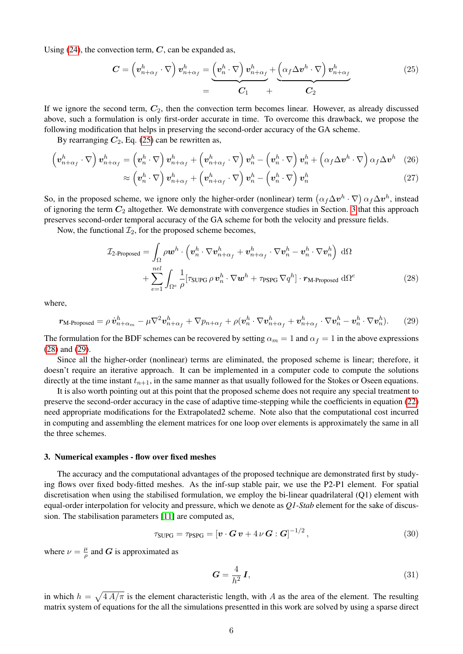Using [\(24\)](#page-4-3), the convection term,  $C$ , can be expanded as,

<span id="page-5-1"></span>
$$
\mathbf{C} = \left(\mathbf{v}_{n+\alpha_f}^h \cdot \nabla\right) \mathbf{v}_{n+\alpha_f}^h = \underbrace{\left(\mathbf{v}_n^h \cdot \nabla\right) \mathbf{v}_{n+\alpha_f}^h}_{\mathbf{C}_1} + \underbrace{\left(\alpha_f \Delta \mathbf{v}^h \cdot \nabla\right) \mathbf{v}_{n+\alpha_f}^h}_{\mathbf{C}_2}
$$
\n
$$
(25)
$$

If we ignore the second term,  $C_2$ , then the convection term becomes linear. However, as already discussed above, such a formulation is only first-order accurate in time. To overcome this drawback, we propose the following modification that helps in preserving the second-order accuracy of the GA scheme.

By rearranging  $C_2$ , Eq. [\(25\)](#page-5-1) can be rewritten as,

$$
\left(\boldsymbol{v}_{n+\alpha_{f}}^{h}\cdot\nabla\right)\boldsymbol{v}_{n+\alpha_{f}}^{h}=\left(\boldsymbol{v}_{n}^{h}\cdot\nabla\right)\boldsymbol{v}_{n+\alpha_{f}}^{h}+\left(\boldsymbol{v}_{n+\alpha_{f}}^{h}\cdot\nabla\right)\boldsymbol{v}_{n}^{h}-\left(\boldsymbol{v}_{n}^{h}\cdot\nabla\right)\boldsymbol{v}_{n}^{h}+\left(\alpha_{f}\Delta\boldsymbol{v}^{h}\cdot\nabla\right)\alpha_{f}\Delta\boldsymbol{v}^{h}
$$
\n
$$
\approx\left(\boldsymbol{v}_{n}^{h}\cdot\nabla\right)\boldsymbol{v}_{n+\alpha_{f}}^{h}+\left(\boldsymbol{v}_{n+\alpha_{f}}^{h}\cdot\nabla\right)\boldsymbol{v}_{n}^{h}-\left(\boldsymbol{v}_{n}^{h}\cdot\nabla\right)\boldsymbol{v}_{n}^{h}
$$
\n(27)

So, in the proposed scheme, we ignore only the higher-order (nonlinear) term  $(\alpha_f \Delta v^h \cdot \nabla) \alpha_f \Delta v^h$ , instead of ignoring the term  $C_2$  altogether. We demonstrate with convergence studies in Section. [3](#page-5-0) that this approach preserves second-order temporal accuracy of the GA scheme for both the velocity and pressure fields.

Now, the functional  $\mathcal{I}_2$ , for the proposed scheme becomes,

<span id="page-5-3"></span><span id="page-5-2"></span>
$$
\mathcal{I}_{2\text{-Proposed}} = \int_{\Omega} \rho \boldsymbol{w}^h \cdot \left( \boldsymbol{v}_n^h \cdot \nabla \boldsymbol{v}_{n+\alpha_f}^h + \boldsymbol{v}_{n+\alpha_f}^h \cdot \nabla \boldsymbol{v}_n^h - \boldsymbol{v}_n^h \cdot \nabla \boldsymbol{v}_n^h \right) d\Omega + \sum_{e=1}^{nel} \int_{\Omega^e} \frac{1}{\rho} [\tau_{\text{SUPG}} \rho \boldsymbol{v}_n^h \cdot \nabla \boldsymbol{w}^h + \tau_{\text{PSPG}} \nabla q^h] \cdot \boldsymbol{r}_{\text{M-Proposed}} d\Omega^e
$$
\n(28)

where,

$$
r_{\text{M-Proposed}} = \rho \, \dot{\boldsymbol{v}}_{n+\alpha_m}^h - \mu \nabla^2 \boldsymbol{v}_{n+\alpha_f}^h + \nabla p_{n+\alpha_f} + \rho (\boldsymbol{v}_n^h \cdot \nabla \boldsymbol{v}_{n+\alpha_f}^h + \boldsymbol{v}_{n+\alpha_f}^h \cdot \nabla \boldsymbol{v}_n^h - \boldsymbol{v}_n^h \cdot \nabla \boldsymbol{v}_n^h). \tag{29}
$$

The formulation for the BDF schemes can be recovered by setting  $\alpha_m = 1$  and  $\alpha_f = 1$  in the above expressions [\(28\)](#page-5-2) and [\(29\)](#page-5-3).

Since all the higher-order (nonlinear) terms are eliminated, the proposed scheme is linear; therefore, it doesn't require an iterative approach. It can be implemented in a computer code to compute the solutions directly at the time instant  $t_{n+1}$ , in the same manner as that usually followed for the Stokes or Oseen equations.

It is also worth pointing out at this point that the proposed scheme does not require any special treatment to preserve the second-order accuracy in the case of adaptive time-stepping while the coefficients in equation [\(22\)](#page-4-1) need appropriate modifications for the Extrapolated2 scheme. Note also that the computational cost incurred in computing and assembling the element matrices for one loop over elements is approximately the same in all the three schemes.

#### <span id="page-5-0"></span>3. Numerical examples - flow over fixed meshes

The accuracy and the computational advantages of the proposed technique are demonstrated first by studying flows over fixed body-fitted meshes. As the inf-sup stable pair, we use the P2-P1 element. For spatial discretisation when using the stabilised formulation, we employ the bi-linear quadrilateral (Q1) element with equal-order interpolation for velocity and pressure, which we denote as *Q1-Stab* element for the sake of discussion. The stabilisation parameters [\[11\]](#page-23-8) are computed as,

$$
\tau_{\text{SUPG}} = \tau_{\text{PSPG}} = \left[ \boldsymbol{v} \cdot \boldsymbol{G} \, \boldsymbol{v} + 4 \, \nu \, \boldsymbol{G} : \boldsymbol{G} \right]^{-1/2},\tag{30}
$$

where  $\nu = \frac{\mu}{\rho}$  $\frac{\mu}{\rho}$  and  $G$  is approximated as

$$
G = \frac{4}{h^2} I,\tag{31}
$$

in which  $h = \sqrt{4A/\pi}$  is the element characteristic length, with A as the area of the element. The resulting matrix system of equations for the all the simulations presentted in this work are solved by using a sparse direct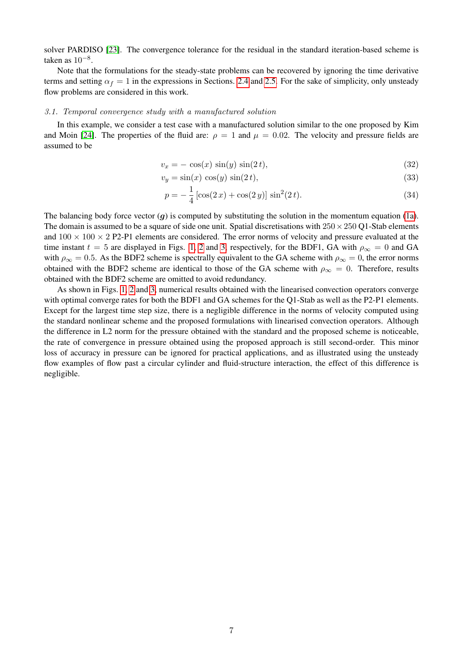solver PARDISO [\[23\]](#page-24-5). The convergence tolerance for the residual in the standard iteration-based scheme is taken as  $10^{-8}$ .

Note that the formulations for the steady-state problems can be recovered by ignoring the time derivative terms and setting  $\alpha_f = 1$  in the expressions in Sections. [2.4](#page-3-0) and [2.5.](#page-4-4) For the sake of simplicity, only unsteady flow problems are considered in this work.

## 3.1. Temporal convergence study with a manufactured solution

In this example, we consider a test case with a manufactured solution similar to the one proposed by Kim and Moin [\[24\]](#page-24-6). The properties of the fluid are:  $\rho = 1$  and  $\mu = 0.02$ . The velocity and pressure fields are assumed to be

$$
v_x = -\cos(x)\sin(y)\sin(2t),\tag{32}
$$

$$
v_y = \sin(x)\cos(y)\sin(2t),\tag{33}
$$

$$
p = -\frac{1}{4} \left[ \cos(2x) + \cos(2y) \right] \sin^2(2t). \tag{34}
$$

The balancing body force vector  $(g)$  is computed by substituting the solution in the momentum equation [\(1a\)](#page-1-1). The domain is assumed to be a square of side one unit. Spatial discretisations with  $250 \times 250$  O1-Stab elements and  $100 \times 100 \times 2$  P2-P1 elements are considered. The error norms of velocity and pressure evaluated at the time instant  $t = 5$  are displayed in Figs. [1,](#page-7-0) [2](#page-7-1) and [3,](#page-8-0) respectively, for the BDF1, GA with  $\rho_{\infty} = 0$  and GA with  $\rho_{\infty} = 0.5$ . As the BDF2 scheme is spectrally equivalent to the GA scheme with  $\rho_{\infty} = 0$ , the error norms obtained with the BDF2 scheme are identical to those of the GA scheme with  $\rho_{\infty} = 0$ . Therefore, results obtained with the BDF2 scheme are omitted to avoid redundancy.

As shown in Figs. [1,](#page-7-0) [2](#page-7-1) and [3,](#page-8-0) numerical results obtained with the linearised convection operators converge with optimal converge rates for both the BDF1 and GA schemes for the Q1-Stab as well as the P2-P1 elements. Except for the largest time step size, there is a negligible difference in the norms of velocity computed using the standard nonlinear scheme and the proposed formulations with linearised convection operators. Although the difference in L2 norm for the pressure obtained with the standard and the proposed scheme is noticeable, the rate of convergence in pressure obtained using the proposed approach is still second-order. This minor loss of accuracy in pressure can be ignored for practical applications, and as illustrated using the unsteady flow examples of flow past a circular cylinder and fluid-structure interaction, the effect of this difference is negligible.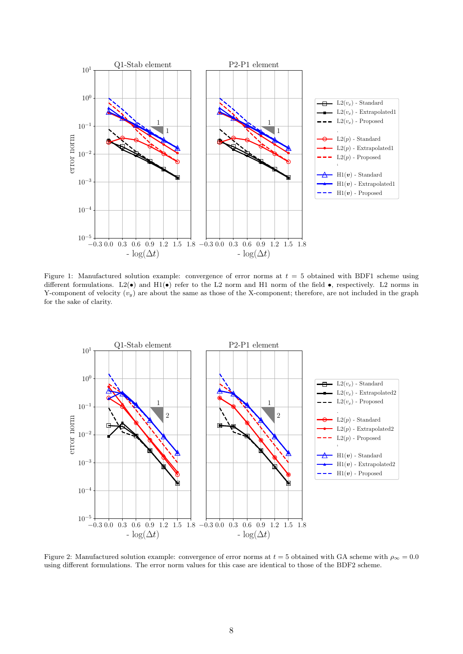

<span id="page-7-0"></span>Figure 1: Manufactured solution example: convergence of error norms at  $t = 5$  obtained with BDF1 scheme using different formulations. L2( $\bullet$ ) and H1( $\bullet$ ) refer to the L2 norm and H1 norm of the field  $\bullet$ , respectively. L2 norms in Y-component of velocity  $(v_y)$  are about the same as those of the X-component; therefore, are not included in the graph for the sake of clarity.



<span id="page-7-1"></span>Figure 2: Manufactured solution example: convergence of error norms at  $t = 5$  obtained with GA scheme with  $\rho_{\infty} = 0.0$ using different formulations. The error norm values for this case are identical to those of the BDF2 scheme.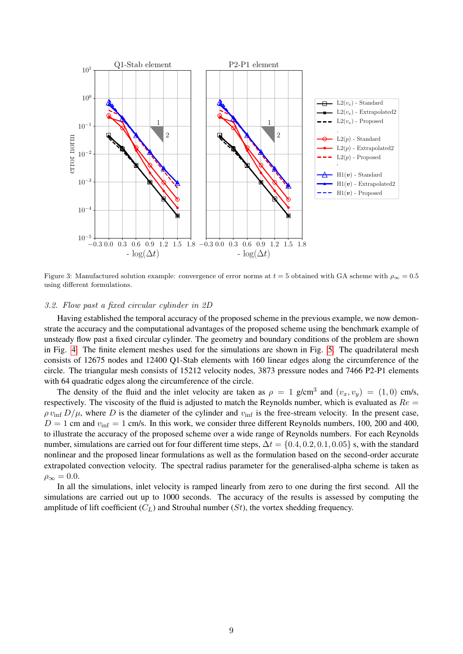

<span id="page-8-0"></span>Figure 3: Manufactured solution example: convergence of error norms at  $t = 5$  obtained with GA scheme with  $\rho_{\infty} = 0.5$ using different formulations.

## 3.2. Flow past a fixed circular cylinder in 2D

Having established the temporal accuracy of the proposed scheme in the previous example, we now demonstrate the accuracy and the computational advantages of the proposed scheme using the benchmark example of unsteady flow past a fixed circular cylinder. The geometry and boundary conditions of the problem are shown in Fig. [4.](#page-9-0) The finite element meshes used for the simulations are shown in Fig. [5.](#page-9-1) The quadrilateral mesh consists of 12675 nodes and 12400 Q1-Stab elements with 160 linear edges along the circumference of the circle. The triangular mesh consists of 15212 velocity nodes, 3873 pressure nodes and 7466 P2-P1 elements with 64 quadratic edges along the circumference of the circle.

The density of the fluid and the inlet velocity are taken as  $\rho = 1$  g/cm<sup>3</sup> and  $(v_x, v_y) = (1, 0)$  cm/s, respectively. The viscosity of the fluid is adjusted to match the Reynolds number, which is evaluated as  $Re =$  $\rho v_{\text{inf}} D/\mu$ , where D is the diameter of the cylinder and  $v_{\text{inf}}$  is the free-stream velocity. In the present case,  $D = 1$  cm and  $v_{\text{inf}} = 1$  cm/s. In this work, we consider three different Reynolds numbers, 100, 200 and 400, to illustrate the accuracy of the proposed scheme over a wide range of Reynolds numbers. For each Reynolds number, simulations are carried out for four different time steps,  $\Delta t = \{0.4, 0.2, 0.1, 0.05\}$  s, with the standard nonlinear and the proposed linear formulations as well as the formulation based on the second-order accurate extrapolated convection velocity. The spectral radius parameter for the generalised-alpha scheme is taken as  $\rho_{\infty} = 0.0.$ 

In all the simulations, inlet velocity is ramped linearly from zero to one during the first second. All the simulations are carried out up to 1000 seconds. The accuracy of the results is assessed by computing the amplitude of lift coefficient  $(C_L)$  and Strouhal number  $(St)$ , the vortex shedding frequency.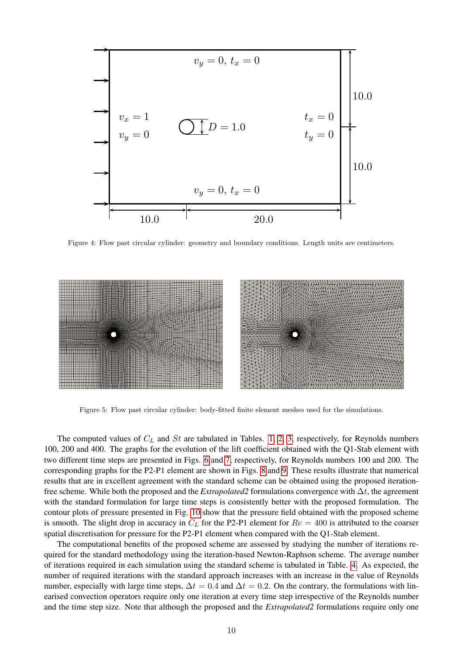

<span id="page-9-0"></span>Figure 4: Flow past circular cylinder: geometry and boundary conditions. Length units are centimeters.



<span id="page-9-1"></span>Figure 5: Flow past circular cylinder: body-fitted finite element meshes used for the simulations.

The computed values of  $C_L$  and St are tabulated in Tables. [1,](#page-10-0) [2,](#page-11-0) [3,](#page-11-1) respectively, for Reynolds numbers 100, 200 and 400. The graphs for the evolution of the lift coefficient obtained with the Q1-Stab element with two different time steps are presented in Figs. [6](#page-12-0) and [7,](#page-12-1) respectively, for Reynolds numbers 100 and 200. The corresponding graphs for the P2-P1 element are shown in Figs. [8](#page-13-0) and [9.](#page-13-1) These results illustrate that numerical results that are in excellent agreement with the standard scheme can be obtained using the proposed iterationfree scheme. While both the proposed and the *Extrapolated2* formulations convergence with ∆t, the agreement with the standard formulation for large time steps is consistently better with the proposed formulation. The contour plots of pressure presented in Fig. [10](#page-14-1) show that the pressure field obtained with the proposed scheme is smooth. The slight drop in accuracy in  $C<sub>L</sub>$  for the P2-P1 element for  $Re = 400$  is attributed to the coarser spatial discretisation for pressure for the P2-P1 element when compared with the Q1-Stab element.

The computational benefits of the proposed scheme are assessed by studying the number of iterations required for the standard methodology using the iteration-based Newton-Raphson scheme. The average number of iterations required in each simulation using the standard scheme is tabulated in Table. [4.](#page-14-2) As expected, the number of required iterations with the standard approach increases with an increase in the value of Reynolds number, especially with large time steps,  $\Delta t = 0.4$  and  $\Delta t = 0.2$ . On the contrary, the formulations with linearised convection operators require only one iteration at every time step irrespective of the Reynolds number and the time step size. Note that although the proposed and the *Extrapolated2* formulations require only one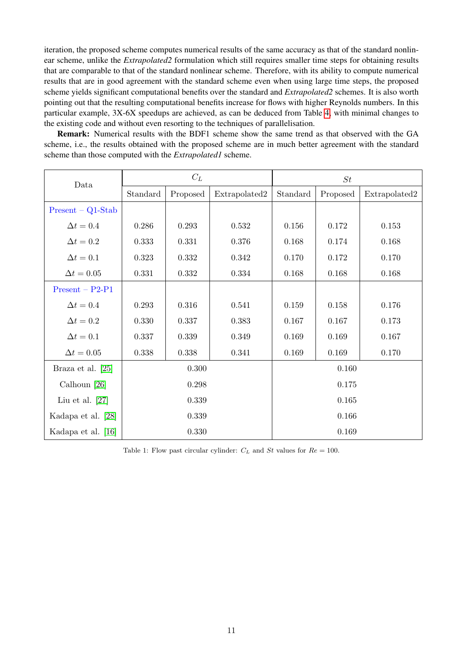iteration, the proposed scheme computes numerical results of the same accuracy as that of the standard nonlinear scheme, unlike the *Extrapolated2* formulation which still requires smaller time steps for obtaining results that are comparable to that of the standard nonlinear scheme. Therefore, with its ability to compute numerical results that are in good agreement with the standard scheme even when using large time steps, the proposed scheme yields significant computational benefits over the standard and *Extrapolated2* schemes. It is also worth pointing out that the resulting computational benefits increase for flows with higher Reynolds numbers. In this particular example, 3X-6X speedups are achieved, as can be deduced from Table [4,](#page-14-2) with minimal changes to the existing code and without even resorting to the techniques of parallelisation.

Remark: Numerical results with the BDF1 scheme show the same trend as that observed with the GA scheme, i.e., the results obtained with the proposed scheme are in much better agreement with the standard scheme than those computed with the *Extrapolated1* scheme.

| Data                |          | $C_L$    |               | St        |           |               |
|---------------------|----------|----------|---------------|-----------|-----------|---------------|
|                     | Standard | Proposed | Extrapolated2 | Standard  | Proposed  | Extrapolated2 |
| $Present - Q1-Stab$ |          |          |               |           |           |               |
| $\Delta t = 0.4$    | 0.286    | 0.293    | 0.532         | 0.156     | 0.172     | 0.153         |
| $\Delta t = 0.2$    | 0.333    | 0.331    | 0.376         | 0.168     | 0.174     | 0.168         |
| $\Delta t=0.1$      | 0.323    | 0.332    | 0.342         | 0.170     | 0.172     | 0.170         |
| $\Delta t = 0.05$   | 0.331    | 0.332    | 0.334         | 0.168     | 0.168     | 0.168         |
| $Present - P2-P1$   |          |          |               |           |           |               |
| $\Delta t = 0.4$    | 0.293    | 0.316    | 0.541         | $0.159\,$ | $0.158\,$ | 0.176         |
| $\Delta t = 0.2$    | 0.330    | 0.337    | 0.383         | 0.167     | 0.167     | 0.173         |
| $\Delta t = 0.1$    | 0.337    | 0.339    | 0.349         | 0.169     | 0.169     | 0.167         |
| $\Delta t = 0.05$   | 0.338    | 0.338    | 0.341         | 0.169     | 0.169     | 0.170         |
| Braza et al. [25]   | 0.300    |          |               | 0.160     |           |               |
| Calhoun $[26]$      | 0.298    |          |               | 0.175     |           |               |
| Liu et al. $[27]$   | 0.339    |          |               | 0.165     |           |               |
| Kadapa et al. [28]  | 0.339    |          |               | 0.166     |           |               |
| Kadapa et al. [16]  | 0.330    |          |               | 0.169     |           |               |

<span id="page-10-0"></span>Table 1: Flow past circular cylinder:  $C_L$  and  $St$  values for  $Re = 100$ .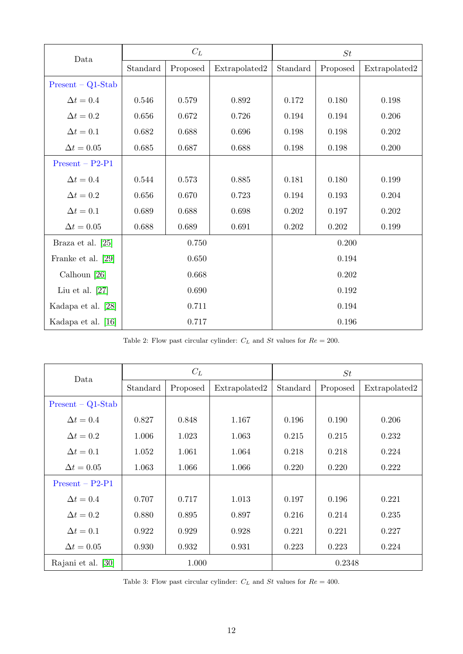| Data                |          | $C_L$    |               | $\mathcal{S}t$ |           |               |  |
|---------------------|----------|----------|---------------|----------------|-----------|---------------|--|
|                     | Standard | Proposed | Extrapolated2 | Standard       | Proposed  | Extrapolated2 |  |
| $Present - Q1-Stab$ |          |          |               |                |           |               |  |
| $\Delta t = 0.4$    | 0.546    | 0.579    | 0.892         | 0.172          | 0.180     | 0.198         |  |
| $\Delta t = 0.2$    | 0.656    | 0.672    | 0.726         | 0.194          | 0.194     | 0.206         |  |
| $\Delta t = 0.1$    | 0.682    | 0.688    | 0.696         | $0.198\,$      | 0.198     | 0.202         |  |
| $\Delta t = 0.05$   | 0.685    | 0.687    | 0.688         | 0.198          | 0.198     | 0.200         |  |
| $Present - P2-P1$   |          |          |               |                |           |               |  |
| $\Delta t = 0.4$    | 0.544    | 0.573    | 0.885         | 0.181          | 0.180     | 0.199         |  |
| $\Delta t = 0.2$    | 0.656    | 0.670    | 0.723         | 0.194          | 0.193     | 0.204         |  |
| $\Delta t = 0.1$    | 0.689    | 0.688    | 0.698         | 0.202          | $0.197\,$ | 0.202         |  |
| $\Delta t = 0.05$   | 0.688    | 0.689    | 0.691         | 0.202          | 0.202     | $0.199\,$     |  |
| Braza et al. [25]   | 0.750    |          |               | 0.200          |           |               |  |
| Franke et al. [29]  | 0.650    |          |               |                | 0.194     |               |  |
| Calhoun $[26]$      | 0.668    |          |               | 0.202          |           |               |  |
| Liu et al. $[27]$   | 0.690    |          |               | 0.192          |           |               |  |
| Kadapa et al. [28]  | 0.711    |          |               | 0.194          |           |               |  |
| Kadapa et al. [16]  | 0.717    |          |               | $0.196\,$      |           |               |  |

<span id="page-11-0"></span>Table 2: Flow past circular cylinder:  $C_L$  and  $St$  values for  $Re = 200$ .

| Data                | $C_L$    |          |               | St       |          |               |
|---------------------|----------|----------|---------------|----------|----------|---------------|
|                     | Standard | Proposed | Extrapolated2 | Standard | Proposed | Extrapolated2 |
| $Present - Q1-Stab$ |          |          |               |          |          |               |
| $\Delta t = 0.4$    | 0.827    | 0.848    | 1.167         | 0.196    | 0.190    | 0.206         |
| $\Delta t = 0.2$    | 1.006    | 1.023    | 1.063         | 0.215    | 0.215    | 0.232         |
| $\Delta t = 0.1$    | 1.052    | 1.061    | 1.064         | 0.218    | 0.218    | 0.224         |
| $\Delta t = 0.05$   | 1.063    | 1.066    | 1.066         | 0.220    | 0.220    | 0.222         |
| $Present - P2-P1$   |          |          |               |          |          |               |
| $\Delta t = 0.4$    | 0.707    | 0.717    | 1.013         | 0.197    | 0.196    | 0.221         |
| $\Delta t = 0.2$    | 0.880    | 0.895    | 0.897         | 0.216    | 0.214    | 0.235         |
| $\Delta t = 0.1$    | 0.922    | 0.929    | 0.928         | 0.221    | 0.221    | 0.227         |
| $\Delta t = 0.05$   | 0.930    | 0.932    | 0.931         | 0.223    | 0.223    | 0.224         |
| Rajani et al. [30]  | 1.000    |          |               | 0.2348   |          |               |

<span id="page-11-1"></span>Table 3: Flow past circular cylinder:  $C_L$  and  $St$  values for  $Re = 400$ .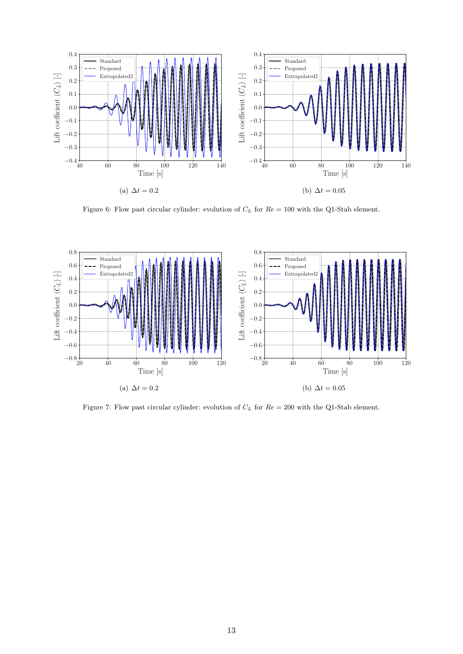

<span id="page-12-0"></span>Figure 6: Flow past circular cylinder: evolution of  $C_L$  for  $Re = 100$  with the Q1-Stab element.



<span id="page-12-1"></span>Figure 7: Flow past circular cylinder: evolution of  $C_L$  for  $Re = 200$  with the Q1-Stab element.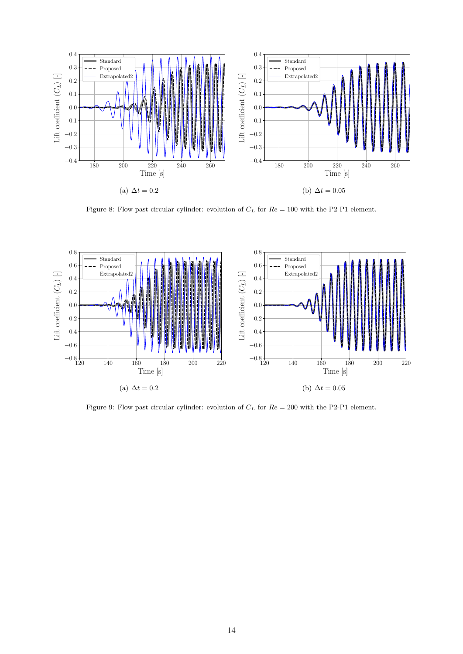

<span id="page-13-0"></span>Figure 8: Flow past circular cylinder: evolution of  $C_L$  for  $Re = 100$  with the P2-P1 element.



<span id="page-13-1"></span>Figure 9: Flow past circular cylinder: evolution of  $C_L$  for  $Re = 200$  with the P2-P1 element.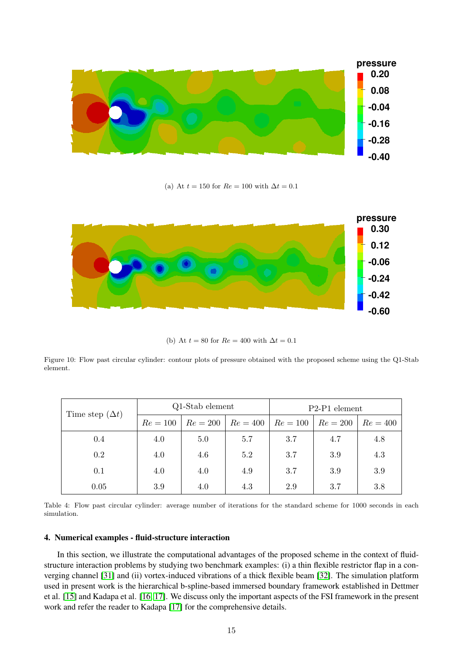

(a) At  $t = 150$  for  $Re = 100$  with  $\Delta t = 0.1$ 



(b) At  $t = 80$  for  $Re = 400$  with  $\Delta t = 0.1$ 

<span id="page-14-1"></span>Figure 10: Flow past circular cylinder: contour plots of pressure obtained with the proposed scheme using the Q1-Stab element.

| Time step $(\Delta t)$ |            | Q1-Stab element |            | P <sub>2</sub> -P <sub>1</sub> element |            |            |
|------------------------|------------|-----------------|------------|----------------------------------------|------------|------------|
|                        | $Re = 100$ | $Re = 200$      | $Re = 400$ | $Re = 100$                             | $Re = 200$ | $Re = 400$ |
| 0.4                    | 4.0        | 5.0             | 5.7        | 3.7                                    | 4.7        | 4.8        |
| 0.2                    | 4.0        | 4.6             | 5.2        | 3.7                                    | 3.9        | 4.3        |
| 0.1                    | 4.0        | 4.0             | 4.9        | 3.7                                    | 3.9        | 3.9        |
| 0.05                   | 3.9        | 4.0             | 4.3        | 2.9                                    | 3.7        | 3.8        |

<span id="page-14-2"></span>Table 4: Flow past circular cylinder: average number of iterations for the standard scheme for 1000 seconds in each simulation.

## <span id="page-14-0"></span>4. Numerical examples - fluid-structure interaction

In this section, we illustrate the computational advantages of the proposed scheme in the context of fluidstructure interaction problems by studying two benchmark examples: (i) a thin flexible restrictor flap in a converging channel [\[31\]](#page-24-13) and (ii) vortex-induced vibrations of a thick flexible beam [\[32\]](#page-24-14). The simulation platform used in present work is the hierarchical b-spline-based immersed boundary framework established in Dettmer et al. [\[15\]](#page-23-11) and Kadapa et al. [\[16,](#page-23-14) [17\]](#page-23-12). We discuss only the important aspects of the FSI framework in the present work and refer the reader to Kadapa [\[17\]](#page-23-12) for the comprehensive details.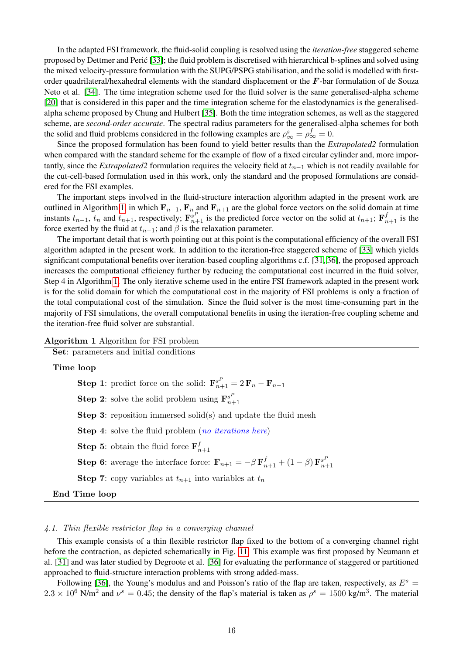In the adapted FSI framework, the fluid-solid coupling is resolved using the *iteration-free* staggered scheme proposed by Dettmer and Peric [\[33\]](#page-24-15); the fluid problem is discretised with hierarchical b-splines and solved using ´ the mixed velocity-pressure formulation with the SUPG/PSPG stabilisation, and the solid is modelled with firstorder quadrilateral/hexahedral elements with the standard displacement or the F-bar formulation of de Souza Neto et al. [\[34\]](#page-24-16). The time integration scheme used for the fluid solver is the same generalised-alpha scheme [\[20\]](#page-24-2) that is considered in this paper and the time integration scheme for the elastodynamics is the generalisedalpha scheme proposed by Chung and Hulbert [\[35\]](#page-24-17). Both the time integration schemes, as well as the staggered scheme, are *second-order accurate*. The spectral radius parameters for the generalised-alpha schemes for both the solid and fluid problems considered in the following examples are  $\rho^s_{\infty} = \rho^f_{\infty} = 0$ .

Since the proposed formulation has been found to yield better results than the *Extrapolated2* formulation when compared with the standard scheme for the example of flow of a fixed circular cylinder and, more importantly, since the *Extrapolated2* formulation requires the velocity field at  $t_{n-1}$  which is not readily available for the cut-cell-based formulation used in this work, only the standard and the proposed formulations are considered for the FSI examples.

The important steps involved in the fluid-structure interaction algorithm adapted in the present work are outlined in Algorithm [1,](#page-15-0) in which  $\mathbf{F}_{n-1}$ ,  $\mathbf{F}_n$  and  $\mathbf{F}_{n+1}$  are the global force vectors on the solid domain at time instants  $t_{n-1}$ ,  $t_n$  and  $t_{n+1}$ , respectively;  $\mathbf{F}_{n+1}^{s}$  is the predicted force vector on the solid at  $t_{n+1}$ ;  $\mathbf{F}_{n+1}^f$  is the force exerted by the fluid at  $t_{n+1}$ ; and  $\beta$  is the relaxation parameter.

The important detail that is worth pointing out at this point is the computational efficiency of the overall FSI algorithm adapted in the present work. In addition to the iteration-free staggered scheme of [\[33\]](#page-24-15) which yields significant computational benefits over iteration-based coupling algorithms c.f. [\[31,](#page-24-13) [36\]](#page-25-0), the proposed approach increases the computational efficiency further by reducing the computational cost incurred in the fluid solver, Step 4 in Algorithm [1.](#page-15-0) The only iterative scheme used in the entire FSI framework adapted in the present work is for the solid domain for which the computational cost in the majority of FSI problems is only a fraction of the total computational cost of the simulation. Since the fluid solver is the most time-consuming part in the majority of FSI simulations, the overall computational benefits in using the iteration-free coupling scheme and the iteration-free fluid solver are substantial.

<span id="page-15-0"></span>Algorithm 1 Algorithm for FSI problem

Set: parameters and initial conditions

Time loop

**Step 1**: predict force on the solid:  $\mathbf{F}_{n+1}^{s^P} = 2\mathbf{F}_n - \mathbf{F}_{n-1}$ 

**Step 2:** solve the solid problem using  $\mathbf{F}_{n}^{s^F}$  $n+1$ 

Step 3: reposition immersed solid(s) and update the fluid mesh

Step 4: solve the fluid problem (no *iterations here*)

**Step 5:** obtain the fluid force  $\mathbf{F}_n^f$  $n+1$ 

**Step 6:** average the interface force:  $\mathbf{F}_{n+1} = -\beta \mathbf{F}_{n+1}^f + (1 - \beta) \mathbf{F}_{n}^{s^F}$  $n+1$ 

**Step 7:** copy variables at  $t_{n+1}$  into variables at  $t_n$ 

End Time loop

## 4.1. Thin flexible restrictor flap in a converging channel

This example consists of a thin flexible restrictor flap fixed to the bottom of a converging channel right before the contraction, as depicted schematically in Fig. [11.](#page-16-0) This example was first proposed by Neumann et al. [\[31\]](#page-24-13) and was later studied by Degroote et al. [\[36\]](#page-25-0) for evaluating the performance of staggered or partitioned approached to fluid-structure interaction problems with strong added-mass.

Following [\[36\]](#page-25-0), the Young's modulus and and Poisson's ratio of the flap are taken, respectively, as  $E^s$  =  $2.3 \times 10^6$  N/m<sup>2</sup> and  $\nu^s = 0.45$ ; the density of the flap's material is taken as  $\rho^s = 1500$  kg/m<sup>3</sup>. The material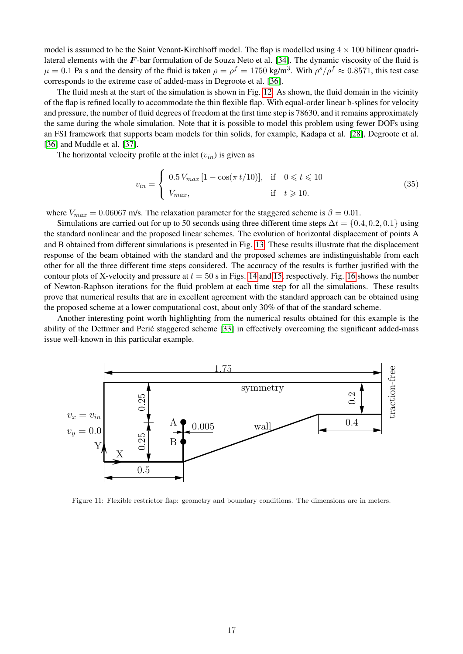model is assumed to be the Saint Venant-Kirchhoff model. The flap is modelled using  $4 \times 100$  bilinear quadrilateral elements with the F-bar formulation of de Souza Neto et al. [\[34\]](#page-24-16). The dynamic viscosity of the fluid is  $\mu = 0.1$  Pa s and the density of the fluid is taken  $\rho = \rho^f = 1750$  kg/m<sup>3</sup>. With  $\rho^s / \rho^f \approx 0.8571$ , this test case corresponds to the extreme case of added-mass in Degroote et al. [\[36\]](#page-25-0).

The fluid mesh at the start of the simulation is shown in Fig. [12.](#page-17-0) As shown, the fluid domain in the vicinity of the flap is refined locally to accommodate the thin flexible flap. With equal-order linear b-splines for velocity and pressure, the number of fluid degrees of freedom at the first time step is 78630, and it remains approximately the same during the whole simulation. Note that it is possible to model this problem using fewer DOFs using an FSI framework that supports beam models for thin solids, for example, Kadapa et al. [\[28\]](#page-24-10), Degroote et al. [\[36\]](#page-25-0) and Muddle et al. [\[37\]](#page-25-1).

The horizontal velocity profile at the inlet  $(v_{in})$  is given as

$$
v_{in} = \begin{cases} 0.5 \, V_{max} \, [1 - \cos(\pi \, t/10)], & \text{if } 0 \leq t \leq 10 \\ V_{max}, & \text{if } t \geq 10. \end{cases} \tag{35}
$$

where  $V_{max} = 0.06067$  m/s. The relaxation parameter for the staggered scheme is  $\beta = 0.01$ .

Simulations are carried out for up to 50 seconds using three different time steps  $\Delta t = \{0.4, 0.2, 0.1\}$  using the standard nonlinear and the proposed linear schemes. The evolution of horizontal displacement of points A and B obtained from different simulations is presented in Fig. [13.](#page-17-1) These results illustrate that the displacement response of the beam obtained with the standard and the proposed schemes are indistinguishable from each other for all the three different time steps considered. The accuracy of the results is further justified with the contour plots of X-velocity and pressure at  $t = 50$  s in Figs. [14](#page-18-0) and [15,](#page-18-1) respectively. Fig. [16](#page-19-0) shows the number of Newton-Raphson iterations for the fluid problem at each time step for all the simulations. These results prove that numerical results that are in excellent agreement with the standard approach can be obtained using the proposed scheme at a lower computational cost, about only 30% of that of the standard scheme.

Another interesting point worth highlighting from the numerical results obtained for this example is the ability of the Dettmer and Peric staggered scheme [\[33\]](#page-24-15) in effectively overcoming the significant added-mass ´ issue well-known in this particular example.



<span id="page-16-0"></span>Figure 11: Flexible restrictor flap: geometry and boundary conditions. The dimensions are in meters.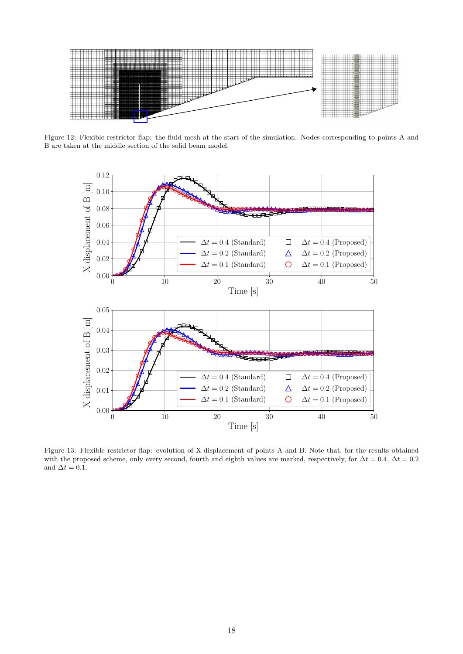

Figure 12: Flexible restrictor flap: the fluid mesh at the start of the simulation. Nodes corresponding to points A and B are taken at the middle section of the solid beam model.

<span id="page-17-0"></span>

<span id="page-17-1"></span>Figure 13: Flexible restrictor flap: evolution of X-displacement of points A and B. Note that, for the results obtained with the proposed scheme, only every second, fourth and eighth values are marked, respectively, for  $\Delta t = 0.4$ ,  $\Delta t = 0.2$ and  $\Delta t = 0.1.$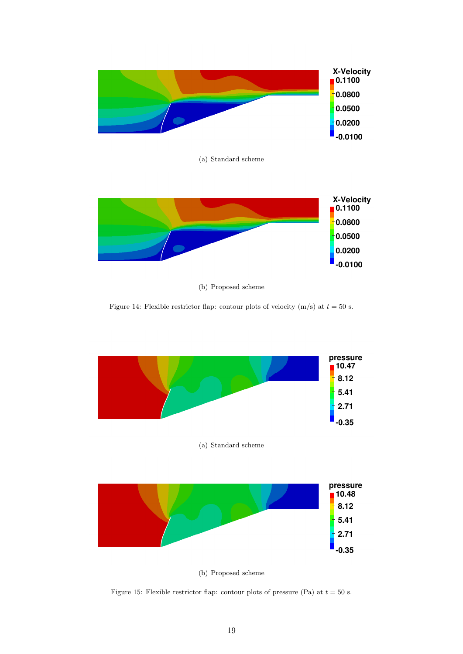

(b) Proposed scheme

<span id="page-18-0"></span>Figure 14: Flexible restrictor flap: contour plots of velocity  $(m/s)$  at  $t = 50$  s.



(b) Proposed scheme

<span id="page-18-1"></span>Figure 15: Flexible restrictor flap: contour plots of pressure (Pa) at  $t = 50$  s.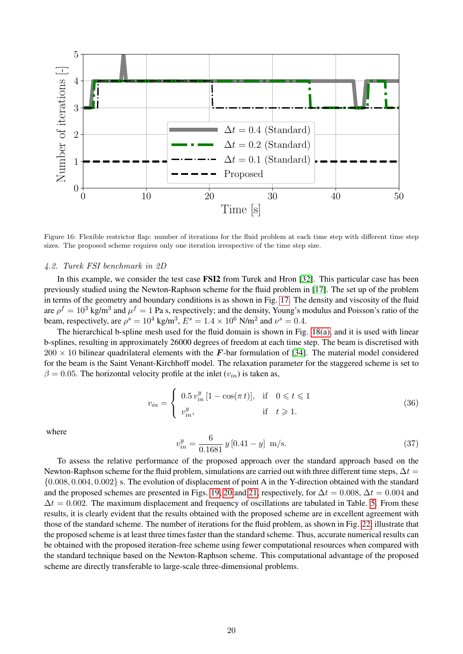

<span id="page-19-0"></span>Figure 16: Flexible restrictor flap: number of iterations for the fluid problem at each time step with different time step sizes. The proposed scheme requires only one iteration irrespective of the time step size.

#### 4.2. Turek FSI benchmark in 2D

In this example, we consider the test case FSI2 from Turek and Hron [\[32\]](#page-24-14). This particular case has been previously studied using the Newton-Raphson scheme for the fluid problem in [\[17\]](#page-23-12). The set up of the problem in terms of the geometry and boundary conditions is as shown in Fig. [17.](#page-20-0) The density and viscosity of the fluid are  $\rho^f = 10^3$  kg/m<sup>3</sup> and  $\mu^f = 1$  Pa s, respectively; and the density, Young's modulus and Poisson's ratio of the beam, respectively, are  $\rho^s = 10^4 \text{ kg/m}^3$ ,  $E^s = 1.4 \times 10^6 \text{ N/m}^2$  and  $\nu^s = 0.4$ .

The hierarchical b-spline mesh used for the fluid domain is shown in Fig. [18\(a\),](#page-20-1) and it is used with linear b-splines, resulting in approximately 26000 degrees of freedom at each time step. The beam is discretised with  $200 \times 10$  bilinear quadrilateral elements with the F-bar formulation of [\[34\]](#page-24-16). The material model considered for the beam is the Saint Venant-Kirchhoff model. The relaxation parameter for the staggered scheme is set to  $\beta = 0.05$ . The horizontal velocity profile at the inlet  $(v_{in})$  is taken as,

$$
v_{in} = \begin{cases} 0.5 \, v_{in}^y \left[ 1 - \cos(\pi \, t) \right], & \text{if} \quad 0 \leqslant t \leqslant 1 \\ v_{in}^y, & \text{if} \quad t \geqslant 1. \end{cases} \tag{36}
$$

where

$$
v_{in}^{y} = \frac{6}{0.1681} y [0.41 - y] \text{ m/s.}
$$
 (37)

To assess the relative performance of the proposed approach over the standard approach based on the Newton-Raphson scheme for the fluid problem, simulations are carried out with three different time steps,  $\Delta t =$ {0.008, 0.004, 0.002} s. The evolution of displacement of point A in the Y-direction obtained with the standard and the proposed schemes are presented in Figs. [19,](#page-20-2) [20](#page-21-0) and [21,](#page-21-1) respectively, for  $\Delta t = 0.008$ ,  $\Delta t = 0.004$  and  $\Delta t = 0.002$ . The maximum displacement and frequency of oscillations are tabulated in Table. [5.](#page-22-1) From these results, it is clearly evident that the results obtained with the proposed scheme are in excellent agreement with those of the standard scheme. The number of iterations for the fluid problem, as shown in Fig. [22,](#page-21-2) illustrate that the proposed scheme is at least three times faster than the standard scheme. Thus, accurate numerical results can be obtained with the proposed iteration-free scheme using fewer computational resources when compared with the standard technique based on the Newton-Raphson scheme. This computational advantage of the proposed scheme are directly transferable to large-scale three-dimensional problems.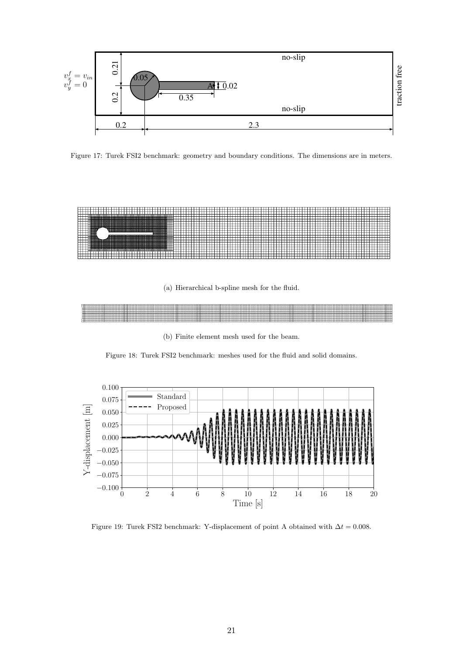

<span id="page-20-0"></span>Figure 17: Turek FSI2 benchmark: geometry and boundary conditions. The dimensions are in meters.

<span id="page-20-1"></span>

(a) Hierarchical b-spline mesh for the fluid.



(b) Finite element mesh used for the beam.

Figure 18: Turek FSI2 benchmark: meshes used for the fluid and solid domains.



<span id="page-20-2"></span>Figure 19: Turek FSI2 benchmark: Y-displacement of point A obtained with  $\Delta t = 0.008$ .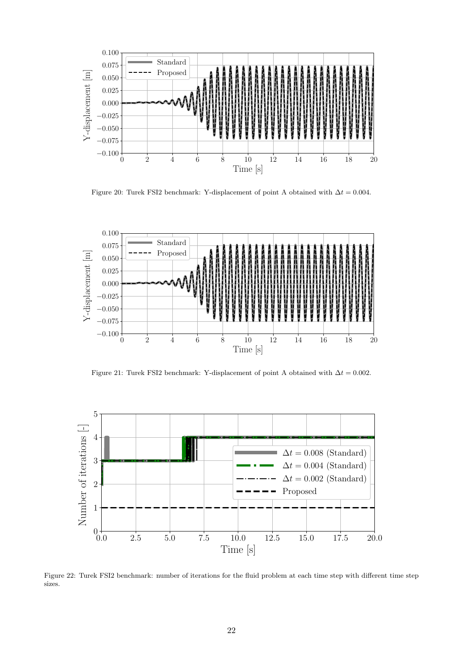

<span id="page-21-0"></span>Figure 20: Turek FSI2 benchmark: Y-displacement of point A obtained with  $\Delta t = 0.004$ .



<span id="page-21-1"></span>Figure 21: Turek FSI2 benchmark: Y-displacement of point A obtained with  $\Delta t = 0.002$ .



<span id="page-21-2"></span>Figure 22: Turek FSI2 benchmark: number of iterations for the fluid problem at each time step with different time step sizes.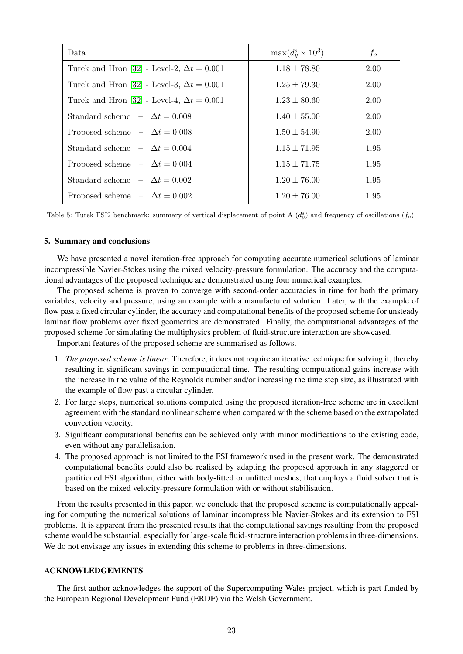| Data                                              | $\max(d_y^s \times 10^3)$ | $f_o$ |
|---------------------------------------------------|---------------------------|-------|
| Turek and Hron [32] - Level-2, $\Delta t = 0.001$ | $1.18 \pm 78.80$          | 2.00  |
| Turek and Hron [32] - Level-3, $\Delta t = 0.001$ | $1.25 \pm 79.30$          | 2.00  |
| Turek and Hron [32] - Level-4, $\Delta t = 0.001$ | $1.23 \pm 80.60$          | 2.00  |
| Standard scheme $-\Delta t = 0.008$               | $1.40 \pm 55.00$          | 2.00  |
| Proposed scheme $-\Delta t = 0.008$               | $1.50 \pm 54.90$          | 2.00  |
| Standard scheme $-\Delta t = 0.004$               | $1.15 \pm 71.95$          | 1.95  |
| Proposed scheme $-\Delta t = 0.004$               | $1.15 \pm 71.75$          | 1.95  |
| Standard scheme $-\Delta t = 0.002$               | $1.20 \pm 76.00$          | 1.95  |
| Proposed scheme $-\Delta t = 0.002$               | $1.20 \pm 76.00$          | 1.95  |

<span id="page-22-1"></span>Table 5: Turek FSI2 benchmark: summary of vertical displacement of point A  $(d_y^s)$  and frequency of oscillations  $(f_o)$ .

## <span id="page-22-0"></span>5. Summary and conclusions

We have presented a novel iteration-free approach for computing accurate numerical solutions of laminar incompressible Navier-Stokes using the mixed velocity-pressure formulation. The accuracy and the computational advantages of the proposed technique are demonstrated using four numerical examples.

The proposed scheme is proven to converge with second-order accuracies in time for both the primary variables, velocity and pressure, using an example with a manufactured solution. Later, with the example of flow past a fixed circular cylinder, the accuracy and computational benefits of the proposed scheme for unsteady laminar flow problems over fixed geometries are demonstrated. Finally, the computational advantages of the proposed scheme for simulating the multiphysics problem of fluid-structure interaction are showcased.

Important features of the proposed scheme are summarised as follows.

- 1. *The proposed scheme is linear*. Therefore, it does not require an iterative technique for solving it, thereby resulting in significant savings in computational time. The resulting computational gains increase with the increase in the value of the Reynolds number and/or increasing the time step size, as illustrated with the example of flow past a circular cylinder.
- 2. For large steps, numerical solutions computed using the proposed iteration-free scheme are in excellent agreement with the standard nonlinear scheme when compared with the scheme based on the extrapolated convection velocity.
- 3. Significant computational benefits can be achieved only with minor modifications to the existing code, even without any parallelisation.
- 4. The proposed approach is not limited to the FSI framework used in the present work. The demonstrated computational benefits could also be realised by adapting the proposed approach in any staggered or partitioned FSI algorithm, either with body-fitted or unfitted meshes, that employs a fluid solver that is based on the mixed velocity-pressure formulation with or without stabilisation.

From the results presented in this paper, we conclude that the proposed scheme is computationally appealing for computing the numerical solutions of laminar incompressible Navier-Stokes and its extension to FSI problems. It is apparent from the presented results that the computational savings resulting from the proposed scheme would be substantial, especially for large-scale fluid-structure interaction problems in three-dimensions. We do not envisage any issues in extending this scheme to problems in three-dimensions.

## ACKNOWLEDGEMENTS

The first author acknowledges the support of the Supercomputing Wales project, which is part-funded by the European Regional Development Fund (ERDF) via the Welsh Government.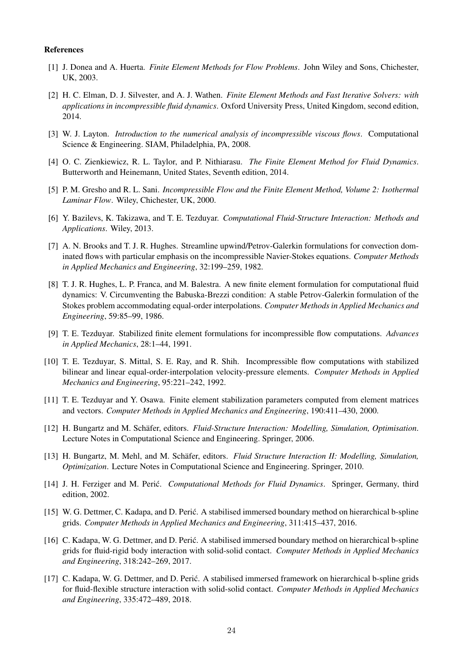#### References

- <span id="page-23-0"></span>[1] J. Donea and A. Huerta. *Finite Element Methods for Flow Problems*. John Wiley and Sons, Chichester, UK, 2003.
- <span id="page-23-13"></span>[2] H. C. Elman, D. J. Silvester, and A. J. Wathen. *Finite Element Methods and Fast Iterative Solvers: with applications in incompressible fluid dynamics*. Oxford University Press, United Kingdom, second edition, 2014.
- [3] W. J. Layton. *Introduction to the numerical analysis of incompressible viscous flows*. Computational Science & Engineering. SIAM, Philadelphia, PA, 2008.
- <span id="page-23-9"></span>[4] O. C. Zienkiewicz, R. L. Taylor, and P. Nithiarasu. *The Finite Element Method for Fluid Dynamics*. Butterworth and Heinemann, United States, Seventh edition, 2014.
- <span id="page-23-1"></span>[5] P. M. Gresho and R. L. Sani. *Incompressible Flow and the Finite Element Method, Volume 2: Isothermal Laminar Flow*. Wiley, Chichester, UK, 2000.
- <span id="page-23-2"></span>[6] Y. Bazilevs, K. Takizawa, and T. E. Tezduyar. *Computational Fluid-Structure Interaction: Methods and Applications*. Wiley, 2013.
- <span id="page-23-5"></span>[7] A. N. Brooks and T. J. R. Hughes. Streamline upwind/Petrov-Galerkin formulations for convection dominated flows with particular emphasis on the incompressible Navier-Stokes equations. *Computer Methods in Applied Mechanics and Engineering*, 32:199–259, 1982.
- <span id="page-23-6"></span>[8] T. J. R. Hughes, L. P. Franca, and M. Balestra. A new finite element formulation for computational fluid dynamics: V. Circumventing the Babuska-Brezzi condition: A stable Petrov-Galerkin formulation of the Stokes problem accommodating equal-order interpolations. *Computer Methods in Applied Mechanics and Engineering*, 59:85–99, 1986.
- <span id="page-23-7"></span>[9] T. E. Tezduyar. Stabilized finite element formulations for incompressible flow computations. *Advances in Applied Mechanics*, 28:1–44, 1991.
- [10] T. E. Tezduyar, S. Mittal, S. E. Ray, and R. Shih. Incompressible flow computations with stabilized bilinear and linear equal-order-interpolation velocity-pressure elements. *Computer Methods in Applied Mechanics and Engineering*, 95:221–242, 1992.
- <span id="page-23-8"></span>[11] T. E. Tezduyar and Y. Osawa. Finite element stabilization parameters computed from element matrices and vectors. *Computer Methods in Applied Mechanics and Engineering*, 190:411–430, 2000.
- <span id="page-23-3"></span>[12] H. Bungartz and M. Schäfer, editors. Fluid-Structure Interaction: Modelling, Simulation, Optimisation. Lecture Notes in Computational Science and Engineering. Springer, 2006.
- <span id="page-23-4"></span>[13] H. Bungartz, M. Mehl, and M. Schäfer, editors. *Fluid Structure Interaction II: Modelling, Simulation*, *Optimization*. Lecture Notes in Computational Science and Engineering. Springer, 2010.
- <span id="page-23-10"></span>[14] J. H. Ferziger and M. Peric.´ *Computational Methods for Fluid Dynamics*. Springer, Germany, third edition, 2002.
- <span id="page-23-11"></span>[15] W. G. Dettmer, C. Kadapa, and D. Peric. A stabilised immersed boundary method on hierarchical b-spline ´ grids. *Computer Methods in Applied Mechanics and Engineering*, 311:415–437, 2016.
- <span id="page-23-14"></span>[16] C. Kadapa, W. G. Dettmer, and D. Peric. A stabilised immersed boundary method on hierarchical b-spline ´ grids for fluid-rigid body interaction with solid-solid contact. *Computer Methods in Applied Mechanics and Engineering*, 318:242–269, 2017.
- <span id="page-23-12"></span>[17] C. Kadapa, W. G. Dettmer, and D. Peric. A stabilised immersed framework on hierarchical b-spline grids ´ for fluid-flexible structure interaction with solid-solid contact. *Computer Methods in Applied Mechanics and Engineering*, 335:472–489, 2018.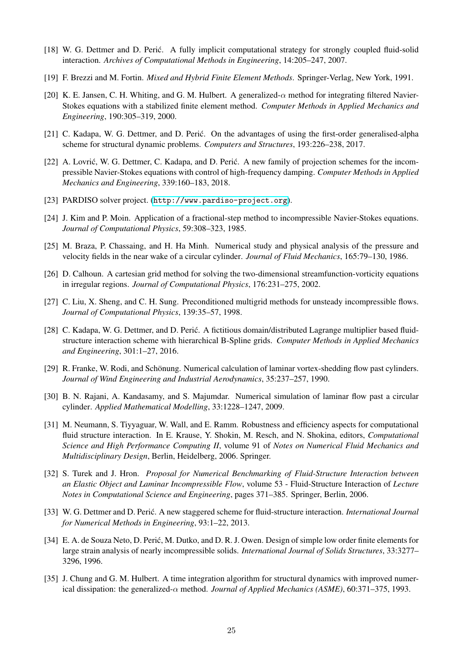- <span id="page-24-0"></span>[18] W. G. Dettmer and D. Peric. A fully implicit computational strategy for strongly coupled fluid-solid ´ interaction. *Archives of Computational Methods in Engineering*, 14:205–247, 2007.
- <span id="page-24-1"></span>[19] F. Brezzi and M. Fortin. *Mixed and Hybrid Finite Element Methods*. Springer-Verlag, New York, 1991.
- <span id="page-24-2"></span>[20] K. E. Jansen, C. H. Whiting, and G. M. Hulbert. A generalized- $\alpha$  method for integrating filtered Navier-Stokes equations with a stabilized finite element method. *Computer Methods in Applied Mechanics and Engineering*, 190:305–319, 2000.
- <span id="page-24-3"></span>[21] C. Kadapa, W. G. Dettmer, and D. Perić. On the advantages of using the first-order generalised-alpha scheme for structural dynamic problems. *Computers and Structures*, 193:226–238, 2017.
- <span id="page-24-4"></span>[22] A. Lovrić, W. G. Dettmer, C. Kadapa, and D. Perić. A new family of projection schemes for the incompressible Navier-Stokes equations with control of high-frequency damping. *Computer Methods in Applied Mechanics and Engineering*, 339:160–183, 2018.
- <span id="page-24-5"></span>[23] PARDISO solver project. (<http://www.pardiso-project.org>).
- <span id="page-24-6"></span>[24] J. Kim and P. Moin. Application of a fractional-step method to incompressible Navier-Stokes equations. *Journal of Computational Physics*, 59:308–323, 1985.
- <span id="page-24-7"></span>[25] M. Braza, P. Chassaing, and H. Ha Minh. Numerical study and physical analysis of the pressure and velocity fields in the near wake of a circular cylinder. *Journal of Fluid Mechanics*, 165:79–130, 1986.
- <span id="page-24-8"></span>[26] D. Calhoun. A cartesian grid method for solving the two-dimensional streamfunction-vorticity equations in irregular regions. *Journal of Computational Physics*, 176:231–275, 2002.
- <span id="page-24-9"></span>[27] C. Liu, X. Sheng, and C. H. Sung. Preconditioned multigrid methods for unsteady incompressible flows. *Journal of Computational Physics*, 139:35–57, 1998.
- <span id="page-24-10"></span>[28] C. Kadapa, W. G. Dettmer, and D. Perić. A fictitious domain/distributed Lagrange multiplier based fluidstructure interaction scheme with hierarchical B-Spline grids. *Computer Methods in Applied Mechanics and Engineering*, 301:1–27, 2016.
- <span id="page-24-11"></span>[29] R. Franke, W. Rodi, and Schönung. Numerical calculation of laminar vortex-shedding flow past cylinders. *Journal of Wind Engineering and Industrial Aerodynamics*, 35:237–257, 1990.
- <span id="page-24-12"></span>[30] B. N. Rajani, A. Kandasamy, and S. Majumdar. Numerical simulation of laminar flow past a circular cylinder. *Applied Mathematical Modelling*, 33:1228–1247, 2009.
- <span id="page-24-13"></span>[31] M. Neumann, S. Tiyyaguar, W. Wall, and E. Ramm. Robustness and efficiency aspects for computational fluid structure interaction. In E. Krause, Y. Shokin, M. Resch, and N. Shokina, editors, *Computational Science and High Performance Computing II*, volume 91 of *Notes on Numerical Fluid Mechanics and Multidisciplinary Design*, Berlin, Heidelberg, 2006. Springer.
- <span id="page-24-14"></span>[32] S. Turek and J. Hron. *Proposal for Numerical Benchmarking of Fluid-Structure Interaction between an Elastic Object and Laminar Incompressible Flow*, volume 53 - Fluid-Structure Interaction of *Lecture Notes in Computational Science and Engineering*, pages 371–385. Springer, Berlin, 2006.
- <span id="page-24-15"></span>[33] W. G. Dettmer and D. Perić. A new staggered scheme for fluid-structure interaction. *International Journal for Numerical Methods in Engineering*, 93:1–22, 2013.
- <span id="page-24-16"></span>[34] E. A. de Souza Neto, D. Peric, M. Dutko, and D. R. J. Owen. Design of simple low order finite elements for ´ large strain analysis of nearly incompressible solids. *International Journal of Solids Structures*, 33:3277– 3296, 1996.
- <span id="page-24-17"></span>[35] J. Chung and G. M. Hulbert. A time integration algorithm for structural dynamics with improved numerical dissipation: the generalized-α method. *Journal of Applied Mechanics (ASME)*, 60:371–375, 1993.